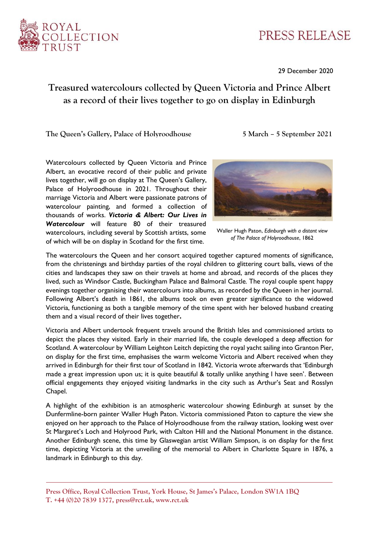

## PRESS RELEASE

29 December 2020

## **Treasured watercolours collected by Queen Victoria and Prince Albert as a record of their lives together to go on display in Edinburgh**

**The Queen's Gallery, Palace of Holyroodhouse 5 March – 5 September 2021**

Watercolours collected by Queen Victoria and Prince Albert, an evocative record of their public and private lives together, will go on display at The Queen's Gallery, Palace of Holyroodhouse in 2021. Throughout their marriage Victoria and Albert were passionate patrons of watercolour painting, and formed a collection of thousands of works. *Victoria & Albert: Our Lives in Watercolour* will feature 80 of their treasured watercolours, including several by Scottish artists, some of which will be on display in Scotland for the first time.



Waller Hugh Paton, *Edinburgh with a distant view of The Palace of Holyroodhouse*, 1862

The watercolours the Queen and her consort acquired together captured moments of significance, from the christenings and birthday parties of the royal children to glittering court balls, views of the cities and landscapes they saw on their travels at home and abroad, and records of the places they lived, such as Windsor Castle, Buckingham Palace and Balmoral Castle*.* The royal couple spent happy evenings together organising their watercolours into albums, as recorded by the Queen in her journal. Following Albert's death in 1861, the albums took on even greater significance to the widowed Victoria, functioning as both a tangible memory of the time spent with her beloved husband creating them and a visual record of their lives together**.**

Victoria and Albert undertook frequent travels around the British Isles and commissioned artists to depict the places they visited. Early in their married life, the couple developed a deep affection for Scotland. A watercolour by William Leighton Leitch depicting the royal yacht sailing into Granton Pier, on display for the first time, emphasises the warm welcome Victoria and Albert received when they arrived in Edinburgh for their first tour of Scotland in 1842. Victoria wrote afterwards that 'Edinburgh made a great impression upon us; it is quite beautiful & totally unlike anything I have seen'. Between official engagements they enjoyed visiting landmarks in the city such as Arthur's Seat and Rosslyn Chapel.

A highlight of the exhibition is an atmospheric watercolour showing Edinburgh at sunset by the Dunfermline-born painter Waller Hugh Paton. Victoria commissioned Paton to capture the view she enjoyed on her approach to the Palace of Holyroodhouse from the railway station, looking west over St Margaret's Loch and Holyrood Park, with Calton Hill and the National Monument in the distance. Another Edinburgh scene, this time by Glaswegian artist William Simpson, is on display for the first time, depicting Victoria at the unveiling of the memorial to Albert in Charlotte Square in 1876, a landmark in Edinburgh to this day.

**Press Office, Royal Collection Trust, York House, St James's Palace, London SW1A 1BQ T. +44 (0)20 7839 1377, press@rct.uk, www.rct.uk**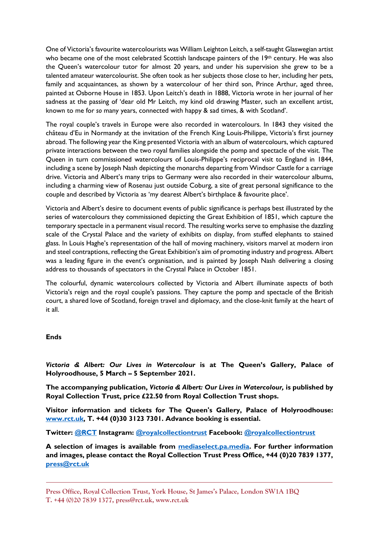One of Victoria's favourite watercolourists was William Leighton Leitch, a self-taught Glaswegian artist who became one of the most celebrated Scottish landscape painters of the  $19<sup>th</sup>$  century. He was also the Queen's watercolour tutor for almost 20 years, and under his supervision she grew to be a talented amateur watercolourist. She often took as her subjects those close to her, including her pets, family and acquaintances, as shown by a watercolour of her third son, Prince Arthur, aged three, painted at Osborne House in 1853. Upon Leitch's death in 1888, Victoria wrote in her journal of her sadness at the passing of 'dear old Mr Leitch, my kind old drawing Master, such an excellent artist, known to me for *so* many years, connected with happy & sad times, & with Scotland'.

The royal couple's travels in Europe were also recorded in watercolours. In 1843 they visited the château d'Eu in Normandy at the invitation of the French King Louis-Philippe, Victoria's first journey abroad. The following year the King presented Victoria with an album of watercolours, which captured private interactions between the two royal families alongside the pomp and spectacle of the visit. The Queen in turn commissioned watercolours of Louis-Philippe's reciprocal visit to England in 1844, including a scene by Joseph Nash depicting the monarchs departing from Windsor Castle for a carriage drive. Victoria and Albert's many trips to Germany were also recorded in their watercolour albums, including a charming view of Rosenau just outside Coburg, a site of great personal significance to the couple and described by Victoria as 'my dearest Albert's birthplace & favourite place'.

Victoria and Albert's desire to document events of public significance is perhaps best illustrated by the series of watercolours they commissioned depicting the Great Exhibition of 1851, which capture the temporary spectacle in a permanent visual record. The resulting works serve to emphasise the dazzling scale of the Crystal Palace and the variety of exhibits on display, from stuffed elephants to stained glass. In Louis Haghe's representation of the hall of moving machinery, visitors marvel at modern iron and steel contraptions, reflecting the Great Exhibition's aim of promoting industry and progress. Albert was a leading figure in the event's organisation, and is painted by Joseph Nash delivering a closing address to thousands of spectators in the Crystal Palace in October 1851.

The colourful, dynamic watercolours collected by Victoria and Albert illuminate aspects of both Victoria's reign and the royal couple's passions. They capture the pomp and spectacle of the British court, a shared love of Scotland, foreign travel and diplomacy, and the close-knit family at the heart of it all.

## **Ends**

*Victoria & Albert: Our Lives in Watercolour* **is at The Queen's Gallery, Palace of Holyroodhouse, 5 March – 5 September 2021.**

**The accompanying publication,** *Victoria & Albert: Our Lives in Watercolour,* **is published by Royal Collection Trust, price £22.50 from Royal Collection Trust shops.** 

**Visitor information and tickets for The Queen's Gallery, Palace of Holyroodhouse: [www.rct.uk,](file:///C:/Users/lspicer/AppData/Local/Microsoft/Windows/INetCache/Content.Outlook/K0R3IH4C/www.rct.uk) T. +44 (0)30 3123 7301. Advance booking is essential.** 

**Twitter: [@RCT](https://twitter.com/RCT) Instagram: [@royalcollectiontrust](https://www.instagram.com/royalcollectiontrust/) Facebook: [@royalcollectiontrust](https://www.facebook.com/royalcollectiontrust)**

**A selection of images is available from [mediaselect.pa.media.](https://mediaselect.pa.media/) For further information and images, please contact the Royal Collection Trust Press Office, +44 (0)20 7839 1377, [press@rct.uk](mailto:press@rct.uk)**

**Press Office, Royal Collection Trust, York House, St James's Palace, London SW1A 1BQ T. +44 (0)20 7839 1377, press@rct.uk, www.rct.uk**